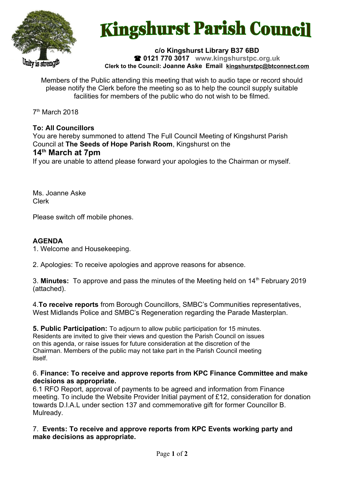

# **Kingshurst Parish Council**

#### **c/o Kingshurst Library B37 6BD 0121 770 3017 www.kingshurstpc.org.uk Clerk to the Council: Joanne Aske Email [kingshurstpc@btconnect.com](mailto:kingshurstpc@btconnect.com)**

Members of the Public attending this meeting that wish to audio tape or record should please notify the Clerk before the meeting so as to help the council supply suitable facilities for members of the public who do not wish to be filmed.

7 th March 2018

## **To: All Councillors**

You are hereby summoned to attend The Full Council Meeting of Kingshurst Parish Council at **The Seeds of Hope Parish Room**, Kingshurst on the **14th March at 7pm**

If you are unable to attend please forward your apologies to the Chairman or myself.

Ms. Joanne Aske Clerk

Please switch off mobile phones.

## **AGENDA**

1. Welcome and Housekeeping.

2. Apologies: To receive apologies and approve reasons for absence.

3. **Minutes:** To approve and pass the minutes of the Meeting held on 14<sup>th</sup> February 2019 (attached).

4.**To receive reports** from Borough Councillors, SMBC's Communities representatives, West Midlands Police and SMBC's Regeneration regarding the Parade Masterplan.

**5. Public Participation:** To adjourn to allow public participation for 15 minutes. Residents are invited to give their views and question the Parish Council on issues on this agenda, or raise issues for future consideration at the discretion of the Chairman. Members of the public may not take part in the Parish Council meeting itself.

### 6. **Finance: To receive and approve reports from KPC Finance Committee and make decisions as appropriate.**

6.1 RFO Report, approval of payments to be agreed and information from Finance meeting. To include the Website Provider Initial payment of £12, consideration for donation towards D.I.A.L under section 137 and commemorative gift for former Councillor B. Mulready.

7. **Events: To receive and approve reports from KPC Events working party and make decisions as appropriate.**